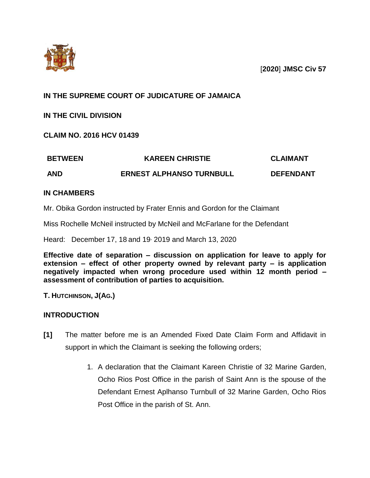

[**2020**] **JMSC Civ 57**

# **IN THE SUPREME COURT OF JUDICATURE OF JAMAICA**

**IN THE CIVIL DIVISION**

**CLAIM NO. 2016 HCV 01439**

| <b>BETWEEN</b> | <b>KAREEN CHRISTIE</b>          | <b>CLAIMANT</b>  |
|----------------|---------------------------------|------------------|
| <b>AND</b>     | <b>ERNEST ALPHANSO TURNBULL</b> | <b>DEFENDANT</b> |

## **IN CHAMBERS**

Mr. Obika Gordon instructed by Frater Ennis and Gordon for the Claimant

Miss Rochelle McNeil instructed by McNeil and McFarlane for the Defendant

Heard: December 17, 18 and 19, 2019 and March 13, 2020

**Effective date of separation – discussion on application for leave to apply for extension – effect of other property owned by relevant party – is application negatively impacted when wrong procedure used within 12 month period – assessment of contribution of parties to acquisition.**

**T. HUTCHINSON, J(AG.)**

## **INTRODUCTION**

- **[1]** The matter before me is an Amended Fixed Date Claim Form and Affidavit in support in which the Claimant is seeking the following orders;
	- 1. A declaration that the Claimant Kareen Christie of 32 Marine Garden, Ocho Rios Post Office in the parish of Saint Ann is the spouse of the Defendant Ernest Aplhanso Turnbull of 32 Marine Garden, Ocho Rios Post Office in the parish of St. Ann.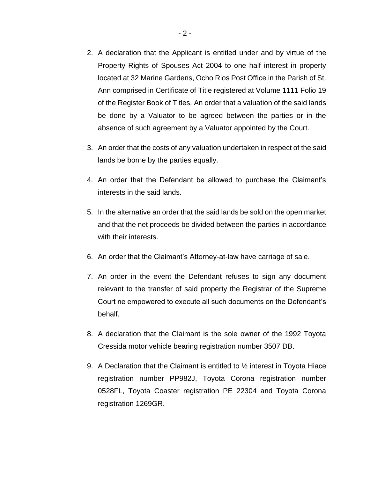- 2. A declaration that the Applicant is entitled under and by virtue of the Property Rights of Spouses Act 2004 to one half interest in property located at 32 Marine Gardens, Ocho Rios Post Office in the Parish of St. Ann comprised in Certificate of Title registered at Volume 1111 Folio 19 of the Register Book of Titles. An order that a valuation of the said lands be done by a Valuator to be agreed between the parties or in the absence of such agreement by a Valuator appointed by the Court.
- 3. An order that the costs of any valuation undertaken in respect of the said lands be borne by the parties equally.
- 4. An order that the Defendant be allowed to purchase the Claimant's interests in the said lands.
- 5. In the alternative an order that the said lands be sold on the open market and that the net proceeds be divided between the parties in accordance with their interests.
- 6. An order that the Claimant's Attorney-at-law have carriage of sale.
- 7. An order in the event the Defendant refuses to sign any document relevant to the transfer of said property the Registrar of the Supreme Court ne empowered to execute all such documents on the Defendant's behalf.
- 8. A declaration that the Claimant is the sole owner of the 1992 Toyota Cressida motor vehicle bearing registration number 3507 DB.
- 9. A Declaration that the Claimant is entitled to  $\frac{1}{2}$  interest in Toyota Hiace registration number PP982J, Toyota Corona registration number 0528FL, Toyota Coaster registration PE 22304 and Toyota Corona registration 1269GR.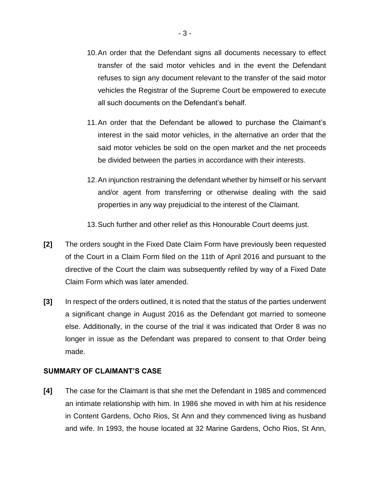- 10.An order that the Defendant signs all documents necessary to effect transfer of the said motor vehicles and in the event the Defendant refuses to sign any document relevant to the transfer of the said motor vehicles the Registrar of the Supreme Court be empowered to execute all such documents on the Defendant's behalf.
- 11.An order that the Defendant be allowed to purchase the Claimant's interest in the said motor vehicles, in the alternative an order that the said motor vehicles be sold on the open market and the net proceeds be divided between the parties in accordance with their interests.
- 12.An injunction restraining the defendant whether by himself or his servant and/or agent from transferring or otherwise dealing with the said properties in any way prejudicial to the interest of the Claimant.
- 13.Such further and other relief as this Honourable Court deems just.
- **[2]** The orders sought in the Fixed Date Claim Form have previously been requested of the Court in a Claim Form filed on the 11th of April 2016 and pursuant to the directive of the Court the claim was subsequently refiled by way of a Fixed Date Claim Form which was later amended.
- **[3]** In respect of the orders outlined, it is noted that the status of the parties underwent a significant change in August 2016 as the Defendant got married to someone else. Additionally, in the course of the trial it was indicated that Order 8 was no longer in issue as the Defendant was prepared to consent to that Order being made.

### **SUMMARY OF CLAIMANT'S CASE**

**[4]** The case for the Claimant is that she met the Defendant in 1985 and commenced an intimate relationship with him. In 1986 she moved in with him at his residence in Content Gardens, Ocho Rios, St Ann and they commenced living as husband and wife. In 1993, the house located at 32 Marine Gardens, Ocho Rios, St Ann,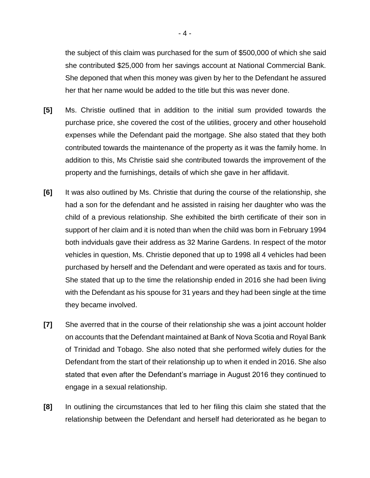the subject of this claim was purchased for the sum of \$500,000 of which she said she contributed \$25,000 from her savings account at National Commercial Bank. She deponed that when this money was given by her to the Defendant he assured her that her name would be added to the title but this was never done.

- **[5]** Ms. Christie outlined that in addition to the initial sum provided towards the purchase price, she covered the cost of the utilities, grocery and other household expenses while the Defendant paid the mortgage. She also stated that they both contributed towards the maintenance of the property as it was the family home. In addition to this, Ms Christie said she contributed towards the improvement of the property and the furnishings, details of which she gave in her affidavit.
- **[6]** It was also outlined by Ms. Christie that during the course of the relationship, she had a son for the defendant and he assisted in raising her daughter who was the child of a previous relationship. She exhibited the birth certificate of their son in support of her claim and it is noted than when the child was born in February 1994 both indviduals gave their address as 32 Marine Gardens. In respect of the motor vehicles in question, Ms. Christie deponed that up to 1998 all 4 vehicles had been purchased by herself and the Defendant and were operated as taxis and for tours. She stated that up to the time the relationship ended in 2016 she had been living with the Defendant as his spouse for 31 years and they had been single at the time they became involved.
- **[7]** She averred that in the course of their relationship she was a joint account holder on accounts that the Defendant maintained at Bank of Nova Scotia and Royal Bank of Trinidad and Tobago. She also noted that she performed wifely duties for the Defendant from the start of their relationship up to when it ended in 2016. She also stated that even after the Defendant's marriage in August 2016 they continued to engage in a sexual relationship.
- **[8]** In outlining the circumstances that led to her filing this claim she stated that the relationship between the Defendant and herself had deteriorated as he began to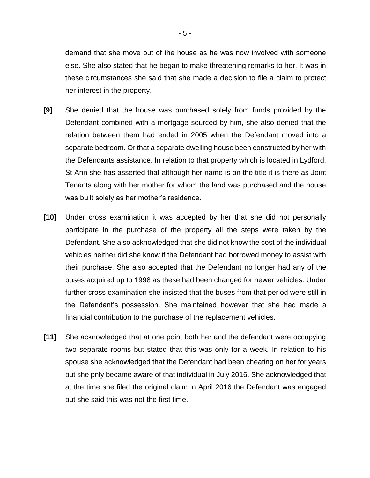demand that she move out of the house as he was now involved with someone else. She also stated that he began to make threatening remarks to her. It was in these circumstances she said that she made a decision to file a claim to protect her interest in the property.

- **[9]** She denied that the house was purchased solely from funds provided by the Defendant combined with a mortgage sourced by him, she also denied that the relation between them had ended in 2005 when the Defendant moved into a separate bedroom. Or that a separate dwelling house been constructed by her with the Defendants assistance. In relation to that property which is located in Lydford, St Ann she has asserted that although her name is on the title it is there as Joint Tenants along with her mother for whom the land was purchased and the house was built solely as her mother's residence.
- **[10]** Under cross examination it was accepted by her that she did not personally participate in the purchase of the property all the steps were taken by the Defendant. She also acknowledged that she did not know the cost of the individual vehicles neither did she know if the Defendant had borrowed money to assist with their purchase. She also accepted that the Defendant no longer had any of the buses acquired up to 1998 as these had been changed for newer vehicles. Under further cross examination she insisted that the buses from that period were still in the Defendant's possession. She maintained however that she had made a financial contribution to the purchase of the replacement vehicles.
- **[11]** She acknowledged that at one point both her and the defendant were occupying two separate rooms but stated that this was only for a week. In relation to his spouse she acknowledged that the Defendant had been cheating on her for years but she pnly became aware of that individual in July 2016. She acknowledged that at the time she filed the original claim in April 2016 the Defendant was engaged but she said this was not the first time.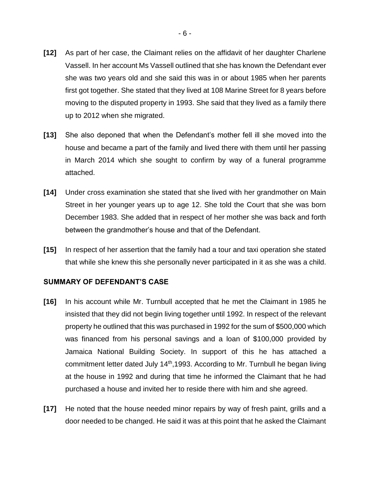- **[12]** As part of her case, the Claimant relies on the affidavit of her daughter Charlene Vassell. In her account Ms Vassell outlined that she has known the Defendant ever she was two years old and she said this was in or about 1985 when her parents first got together. She stated that they lived at 108 Marine Street for 8 years before moving to the disputed property in 1993. She said that they lived as a family there up to 2012 when she migrated.
- **[13]** She also deponed that when the Defendant's mother fell ill she moved into the house and became a part of the family and lived there with them until her passing in March 2014 which she sought to confirm by way of a funeral programme attached.
- **[14]** Under cross examination she stated that she lived with her grandmother on Main Street in her younger years up to age 12. She told the Court that she was born December 1983. She added that in respect of her mother she was back and forth between the grandmother's house and that of the Defendant.
- **[15]** In respect of her assertion that the family had a tour and taxi operation she stated that while she knew this she personally never participated in it as she was a child.

#### **SUMMARY OF DEFENDANT'S CASE**

- **[16]** In his account while Mr. Turnbull accepted that he met the Claimant in 1985 he insisted that they did not begin living together until 1992. In respect of the relevant property he outlined that this was purchased in 1992 for the sum of \$500,000 which was financed from his personal savings and a loan of \$100,000 provided by Jamaica National Building Society. In support of this he has attached a commitment letter dated July 14<sup>th</sup>,1993. According to Mr. Turnbull he began living at the house in 1992 and during that time he informed the Claimant that he had purchased a house and invited her to reside there with him and she agreed.
- **[17]** He noted that the house needed minor repairs by way of fresh paint, grills and a door needed to be changed. He said it was at this point that he asked the Claimant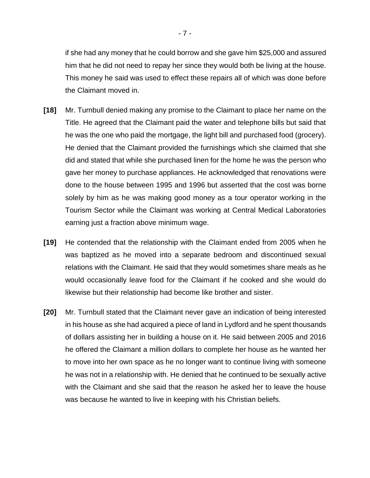if she had any money that he could borrow and she gave him \$25,000 and assured him that he did not need to repay her since they would both be living at the house. This money he said was used to effect these repairs all of which was done before the Claimant moved in.

- **[18]** Mr. Turnbull denied making any promise to the Claimant to place her name on the Title. He agreed that the Claimant paid the water and telephone bills but said that he was the one who paid the mortgage, the light bill and purchased food (grocery). He denied that the Claimant provided the furnishings which she claimed that she did and stated that while she purchased linen for the home he was the person who gave her money to purchase appliances. He acknowledged that renovations were done to the house between 1995 and 1996 but asserted that the cost was borne solely by him as he was making good money as a tour operator working in the Tourism Sector while the Claimant was working at Central Medical Laboratories earning just a fraction above minimum wage.
- **[19]** He contended that the relationship with the Claimant ended from 2005 when he was baptized as he moved into a separate bedroom and discontinued sexual relations with the Claimant. He said that they would sometimes share meals as he would occasionally leave food for the Claimant if he cooked and she would do likewise but their relationship had become like brother and sister.
- **[20]** Mr. Turnbull stated that the Claimant never gave an indication of being interested in his house as she had acquired a piece of land in Lydford and he spent thousands of dollars assisting her in building a house on it. He said between 2005 and 2016 he offered the Claimant a million dollars to complete her house as he wanted her to move into her own space as he no longer want to continue living with someone he was not in a relationship with. He denied that he continued to be sexually active with the Claimant and she said that the reason he asked her to leave the house was because he wanted to live in keeping with his Christian beliefs.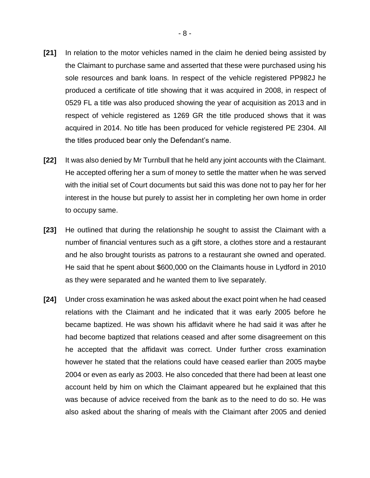- **[21]** In relation to the motor vehicles named in the claim he denied being assisted by the Claimant to purchase same and asserted that these were purchased using his sole resources and bank loans. In respect of the vehicle registered PP982J he produced a certificate of title showing that it was acquired in 2008, in respect of 0529 FL a title was also produced showing the year of acquisition as 2013 and in respect of vehicle registered as 1269 GR the title produced shows that it was acquired in 2014. No title has been produced for vehicle registered PE 2304. All the titles produced bear only the Defendant's name.
- **[22]** It was also denied by Mr Turnbull that he held any joint accounts with the Claimant. He accepted offering her a sum of money to settle the matter when he was served with the initial set of Court documents but said this was done not to pay her for her interest in the house but purely to assist her in completing her own home in order to occupy same.
- **[23]** He outlined that during the relationship he sought to assist the Claimant with a number of financial ventures such as a gift store, a clothes store and a restaurant and he also brought tourists as patrons to a restaurant she owned and operated. He said that he spent about \$600,000 on the Claimants house in Lydford in 2010 as they were separated and he wanted them to live separately.
- **[24]** Under cross examination he was asked about the exact point when he had ceased relations with the Claimant and he indicated that it was early 2005 before he became baptized. He was shown his affidavit where he had said it was after he had become baptized that relations ceased and after some disagreement on this he accepted that the affidavit was correct. Under further cross examination however he stated that the relations could have ceased earlier than 2005 maybe 2004 or even as early as 2003. He also conceded that there had been at least one account held by him on which the Claimant appeared but he explained that this was because of advice received from the bank as to the need to do so. He was also asked about the sharing of meals with the Claimant after 2005 and denied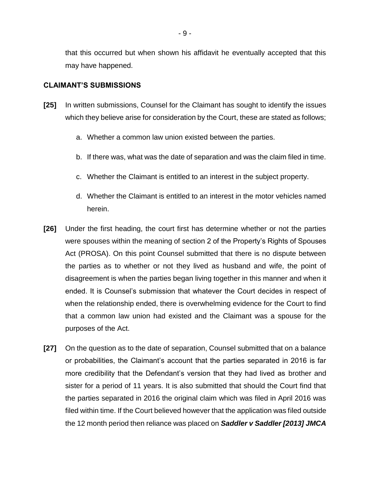that this occurred but when shown his affidavit he eventually accepted that this may have happened.

#### **CLAIMANT'S SUBMISSIONS**

- **[25]** In written submissions, Counsel for the Claimant has sought to identify the issues which they believe arise for consideration by the Court, these are stated as follows;
	- a. Whether a common law union existed between the parties.
	- b. If there was, what was the date of separation and was the claim filed in time.
	- c. Whether the Claimant is entitled to an interest in the subject property.
	- d. Whether the Claimant is entitled to an interest in the motor vehicles named herein.
- **[26]** Under the first heading, the court first has determine whether or not the parties were spouses within the meaning of section 2 of the Property's Rights of Spouses Act (PROSA). On this point Counsel submitted that there is no dispute between the parties as to whether or not they lived as husband and wife, the point of disagreement is when the parties began living together in this manner and when it ended. It is Counsel's submission that whatever the Court decides in respect of when the relationship ended, there is overwhelming evidence for the Court to find that a common law union had existed and the Claimant was a spouse for the purposes of the Act.
- **[27]** On the question as to the date of separation, Counsel submitted that on a balance or probabilities, the Claimant's account that the parties separated in 2016 is far more credibility that the Defendant's version that they had lived as brother and sister for a period of 11 years. It is also submitted that should the Court find that the parties separated in 2016 the original claim which was filed in April 2016 was filed within time. If the Court believed however that the application was filed outside the 12 month period then reliance was placed on *Saddler v Saddler [2013] JMCA*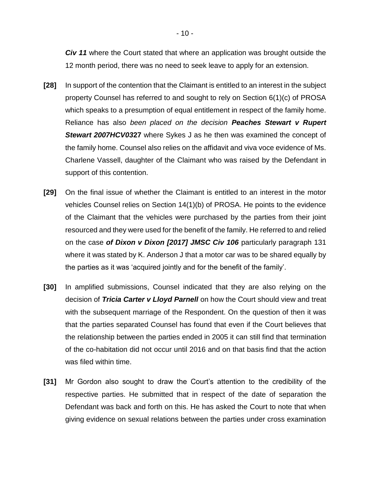*Civ 11* where the Court stated that where an application was brought outside the 12 month period, there was no need to seek leave to apply for an extension.

- **[28]** In support of the contention that the Claimant is entitled to an interest in the subject property Counsel has referred to and sought to rely on Section 6(1)(c) of PROSA which speaks to a presumption of equal entitlement in respect of the family home. Reliance has also *been placed on the decision Peaches Stewart v Rupert Stewart 2007HCV03***27** where Sykes J as he then was examined the concept of the family home. Counsel also relies on the affidavit and viva voce evidence of Ms. Charlene Vassell, daughter of the Claimant who was raised by the Defendant in support of this contention.
- **[29]** On the final issue of whether the Claimant is entitled to an interest in the motor vehicles Counsel relies on Section 14(1)(b) of PROSA. He points to the evidence of the Claimant that the vehicles were purchased by the parties from their joint resourced and they were used for the benefit of the family. He referred to and relied on the case *of Dixon v Dixon [2017] JMSC Civ 106* particularly paragraph 131 where it was stated by K. Anderson J that a motor car was to be shared equally by the parties as it was 'acquired jointly and for the benefit of the family'.
- **[30]** In amplified submissions, Counsel indicated that they are also relying on the decision of *Tricia Carter v Lloyd Parnell* on how the Court should view and treat with the subsequent marriage of the Respondent. On the question of then it was that the parties separated Counsel has found that even if the Court believes that the relationship between the parties ended in 2005 it can still find that termination of the co-habitation did not occur until 2016 and on that basis find that the action was filed within time.
- **[31]** Mr Gordon also sought to draw the Court's attention to the credibility of the respective parties. He submitted that in respect of the date of separation the Defendant was back and forth on this. He has asked the Court to note that when giving evidence on sexual relations between the parties under cross examination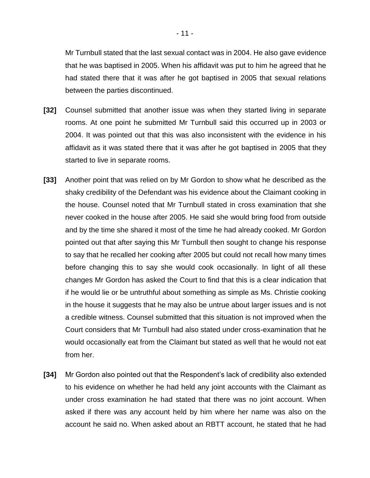Mr Turnbull stated that the last sexual contact was in 2004. He also gave evidence that he was baptised in 2005. When his affidavit was put to him he agreed that he had stated there that it was after he got baptised in 2005 that sexual relations between the parties discontinued.

- **[32]** Counsel submitted that another issue was when they started living in separate rooms. At one point he submitted Mr Turnbull said this occurred up in 2003 or 2004. It was pointed out that this was also inconsistent with the evidence in his affidavit as it was stated there that it was after he got baptised in 2005 that they started to live in separate rooms.
- **[33]** Another point that was relied on by Mr Gordon to show what he described as the shaky credibility of the Defendant was his evidence about the Claimant cooking in the house. Counsel noted that Mr Turnbull stated in cross examination that she never cooked in the house after 2005. He said she would bring food from outside and by the time she shared it most of the time he had already cooked. Mr Gordon pointed out that after saying this Mr Turnbull then sought to change his response to say that he recalled her cooking after 2005 but could not recall how many times before changing this to say she would cook occasionally. In light of all these changes Mr Gordon has asked the Court to find that this is a clear indication that if he would lie or be untruthful about something as simple as Ms. Christie cooking in the house it suggests that he may also be untrue about larger issues and is not a credible witness. Counsel submitted that this situation is not improved when the Court considers that Mr Turnbull had also stated under cross-examination that he would occasionally eat from the Claimant but stated as well that he would not eat from her.
- **[34]** Mr Gordon also pointed out that the Respondent's lack of credibility also extended to his evidence on whether he had held any joint accounts with the Claimant as under cross examination he had stated that there was no joint account. When asked if there was any account held by him where her name was also on the account he said no. When asked about an RBTT account, he stated that he had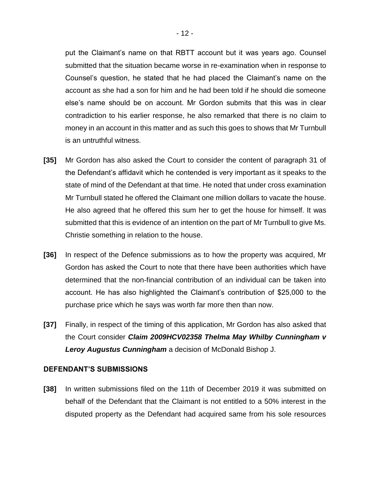put the Claimant's name on that RBTT account but it was years ago. Counsel submitted that the situation became worse in re-examination when in response to Counsel's question, he stated that he had placed the Claimant's name on the account as she had a son for him and he had been told if he should die someone else's name should be on account. Mr Gordon submits that this was in clear contradiction to his earlier response, he also remarked that there is no claim to money in an account in this matter and as such this goes to shows that Mr Turnbull is an untruthful witness.

- **[35]** Mr Gordon has also asked the Court to consider the content of paragraph 31 of the Defendant's affidavit which he contended is very important as it speaks to the state of mind of the Defendant at that time. He noted that under cross examination Mr Turnbull stated he offered the Claimant one million dollars to vacate the house. He also agreed that he offered this sum her to get the house for himself. It was submitted that this is evidence of an intention on the part of Mr Turnbull to give Ms. Christie something in relation to the house.
- **[36]** In respect of the Defence submissions as to how the property was acquired, Mr Gordon has asked the Court to note that there have been authorities which have determined that the non-financial contribution of an individual can be taken into account. He has also highlighted the Claimant's contribution of \$25,000 to the purchase price which he says was worth far more then than now.
- **[37]** Finally, in respect of the timing of this application, Mr Gordon has also asked that the Court consider *Claim 2009HCV02358 Thelma May Whilby Cunningham v Leroy Augustus Cunningham* a decision of McDonald Bishop J.

#### **DEFENDANT'S SUBMISSIONS**

**[38]** In written submissions filed on the 11th of December 2019 it was submitted on behalf of the Defendant that the Claimant is not entitled to a 50% interest in the disputed property as the Defendant had acquired same from his sole resources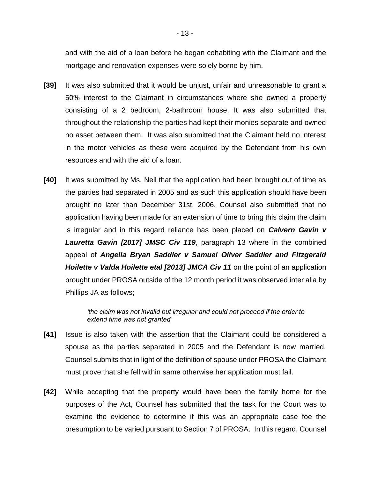and with the aid of a loan before he began cohabiting with the Claimant and the mortgage and renovation expenses were solely borne by him.

- **[39]** It was also submitted that it would be unjust, unfair and unreasonable to grant a 50% interest to the Claimant in circumstances where she owned a property consisting of a 2 bedroom, 2-bathroom house. It was also submitted that throughout the relationship the parties had kept their monies separate and owned no asset between them. It was also submitted that the Claimant held no interest in the motor vehicles as these were acquired by the Defendant from his own resources and with the aid of a loan.
- **[40]** It was submitted by Ms. Neil that the application had been brought out of time as the parties had separated in 2005 and as such this application should have been brought no later than December 31st, 2006. Counsel also submitted that no application having been made for an extension of time to bring this claim the claim is irregular and in this regard reliance has been placed on *Calvern Gavin v Lauretta Gavin [2017] JMSC Civ 119*, paragraph 13 where in the combined appeal of *Angella Bryan Saddler v Samuel Oliver Saddler and Fitzgerald Hoilette v Valda Hoilette etal [2013] JMCA Civ 11* on the point of an application brought under PROSA outside of the 12 month period it was observed inter alia by Phillips JA as follows;

*'the claim was not invalid but irregular and could not proceed if the order to extend time was not granted'*

- **[41]** Issue is also taken with the assertion that the Claimant could be considered a spouse as the parties separated in 2005 and the Defendant is now married. Counsel submits that in light of the definition of spouse under PROSA the Claimant must prove that she fell within same otherwise her application must fail.
- **[42]** While accepting that the property would have been the family home for the purposes of the Act, Counsel has submitted that the task for the Court was to examine the evidence to determine if this was an appropriate case foe the presumption to be varied pursuant to Section 7 of PROSA. In this regard, Counsel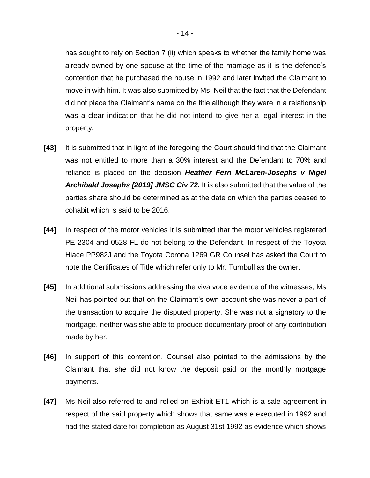has sought to rely on Section 7 (ii) which speaks to whether the family home was already owned by one spouse at the time of the marriage as it is the defence's contention that he purchased the house in 1992 and later invited the Claimant to move in with him. It was also submitted by Ms. Neil that the fact that the Defendant did not place the Claimant's name on the title although they were in a relationship was a clear indication that he did not intend to give her a legal interest in the property.

- **[43]** It is submitted that in light of the foregoing the Court should find that the Claimant was not entitled to more than a 30% interest and the Defendant to 70% and reliance is placed on the decision *Heather Fern McLaren-Josephs v Nigel Archibald Josephs [2019] JMSC Civ 72.* It is also submitted that the value of the parties share should be determined as at the date on which the parties ceased to cohabit which is said to be 2016.
- **[44]** In respect of the motor vehicles it is submitted that the motor vehicles registered PE 2304 and 0528 FL do not belong to the Defendant. In respect of the Toyota Hiace PP982J and the Toyota Corona 1269 GR Counsel has asked the Court to note the Certificates of Title which refer only to Mr. Turnbull as the owner.
- **[45]** In additional submissions addressing the viva voce evidence of the witnesses, Ms Neil has pointed out that on the Claimant's own account she was never a part of the transaction to acquire the disputed property. She was not a signatory to the mortgage, neither was she able to produce documentary proof of any contribution made by her.
- **[46]** In support of this contention, Counsel also pointed to the admissions by the Claimant that she did not know the deposit paid or the monthly mortgage payments.
- **[47]** Ms Neil also referred to and relied on Exhibit ET1 which is a sale agreement in respect of the said property which shows that same was e executed in 1992 and had the stated date for completion as August 31st 1992 as evidence which shows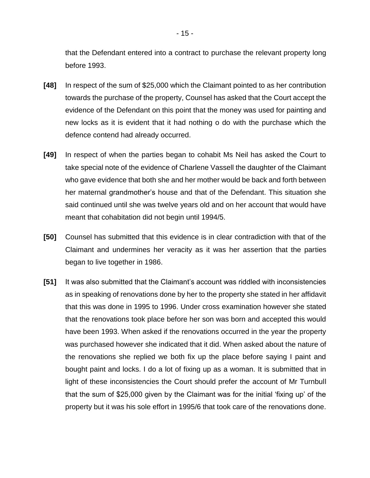that the Defendant entered into a contract to purchase the relevant property long before 1993.

- **[48]** In respect of the sum of \$25,000 which the Claimant pointed to as her contribution towards the purchase of the property, Counsel has asked that the Court accept the evidence of the Defendant on this point that the money was used for painting and new locks as it is evident that it had nothing o do with the purchase which the defence contend had already occurred.
- **[49]** In respect of when the parties began to cohabit Ms Neil has asked the Court to take special note of the evidence of Charlene Vassell the daughter of the Claimant who gave evidence that both she and her mother would be back and forth between her maternal grandmother's house and that of the Defendant. This situation she said continued until she was twelve years old and on her account that would have meant that cohabitation did not begin until 1994/5.
- **[50]** Counsel has submitted that this evidence is in clear contradiction with that of the Claimant and undermines her veracity as it was her assertion that the parties began to live together in 1986.
- **[51]** It was also submitted that the Claimant's account was riddled with inconsistencies as in speaking of renovations done by her to the property she stated in her affidavit that this was done in 1995 to 1996. Under cross examination however she stated that the renovations took place before her son was born and accepted this would have been 1993. When asked if the renovations occurred in the year the property was purchased however she indicated that it did. When asked about the nature of the renovations she replied we both fix up the place before saying I paint and bought paint and locks. I do a lot of fixing up as a woman. It is submitted that in light of these inconsistencies the Court should prefer the account of Mr Turnbull that the sum of \$25,000 given by the Claimant was for the initial 'fixing up' of the property but it was his sole effort in 1995/6 that took care of the renovations done.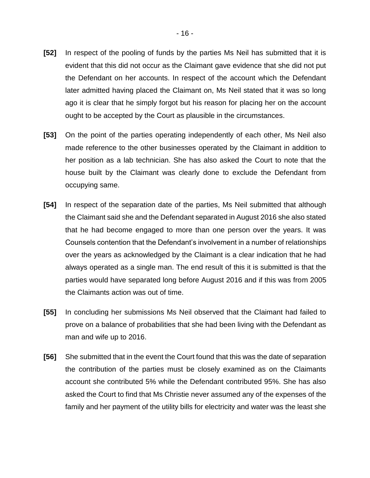- **[52]** In respect of the pooling of funds by the parties Ms Neil has submitted that it is evident that this did not occur as the Claimant gave evidence that she did not put the Defendant on her accounts. In respect of the account which the Defendant later admitted having placed the Claimant on, Ms Neil stated that it was so long ago it is clear that he simply forgot but his reason for placing her on the account ought to be accepted by the Court as plausible in the circumstances.
- **[53]** On the point of the parties operating independently of each other, Ms Neil also made reference to the other businesses operated by the Claimant in addition to her position as a lab technician. She has also asked the Court to note that the house built by the Claimant was clearly done to exclude the Defendant from occupying same.
- **[54]** In respect of the separation date of the parties, Ms Neil submitted that although the Claimant said she and the Defendant separated in August 2016 she also stated that he had become engaged to more than one person over the years. It was Counsels contention that the Defendant's involvement in a number of relationships over the years as acknowledged by the Claimant is a clear indication that he had always operated as a single man. The end result of this it is submitted is that the parties would have separated long before August 2016 and if this was from 2005 the Claimants action was out of time.
- **[55]** In concluding her submissions Ms Neil observed that the Claimant had failed to prove on a balance of probabilities that she had been living with the Defendant as man and wife up to 2016.
- **[56]** She submitted that in the event the Court found that this was the date of separation the contribution of the parties must be closely examined as on the Claimants account she contributed 5% while the Defendant contributed 95%. She has also asked the Court to find that Ms Christie never assumed any of the expenses of the family and her payment of the utility bills for electricity and water was the least she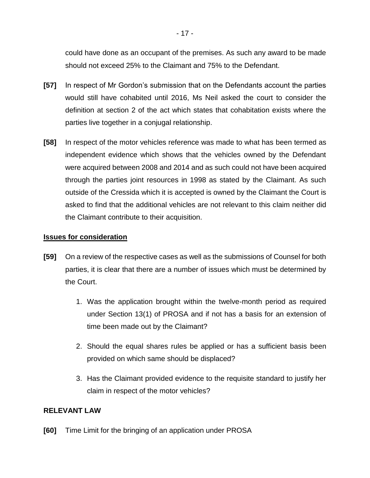could have done as an occupant of the premises. As such any award to be made should not exceed 25% to the Claimant and 75% to the Defendant.

- **[57]** In respect of Mr Gordon's submission that on the Defendants account the parties would still have cohabited until 2016, Ms Neil asked the court to consider the definition at section 2 of the act which states that cohabitation exists where the parties live together in a conjugal relationship.
- **[58]** In respect of the motor vehicles reference was made to what has been termed as independent evidence which shows that the vehicles owned by the Defendant were acquired between 2008 and 2014 and as such could not have been acquired through the parties joint resources in 1998 as stated by the Claimant. As such outside of the Cressida which it is accepted is owned by the Claimant the Court is asked to find that the additional vehicles are not relevant to this claim neither did the Claimant contribute to their acquisition.

### **Issues for consideration**

- **[59]** On a review of the respective cases as well as the submissions of Counsel for both parties, it is clear that there are a number of issues which must be determined by the Court.
	- 1. Was the application brought within the twelve-month period as required under Section 13(1) of PROSA and if not has a basis for an extension of time been made out by the Claimant?
	- 2. Should the equal shares rules be applied or has a sufficient basis been provided on which same should be displaced?
	- 3. Has the Claimant provided evidence to the requisite standard to justify her claim in respect of the motor vehicles?

### **RELEVANT LAW**

**[60]** Time Limit for the bringing of an application under PROSA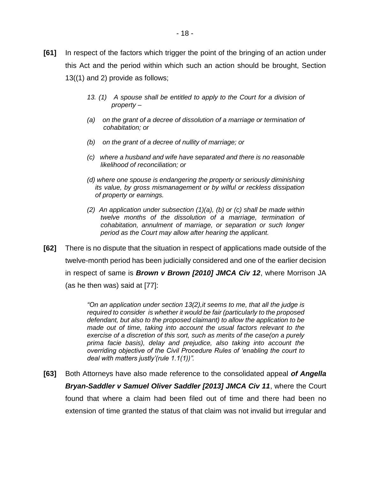- **[61]** In respect of the factors which trigger the point of the bringing of an action under this Act and the period within which such an action should be brought, Section 13((1) and 2) provide as follows;
	- *13. (1) A spouse shall be entitled to apply to the Court for a division of property –*
	- *(a) on the grant of a decree of dissolution of a marriage or termination of cohabitation; or*
	- *(b) on the grant of a decree of nullity of marriage; or*
	- *(c) where a husband and wife have separated and there is no reasonable likelihood of reconciliation; or*
	- *(d) where one spouse is endangering the property or seriously diminishing its value, by gross mismanagement or by wilful or reckless dissipation of property or earnings.*
	- *(2) An application under subsection (1)(a), (b) or (c) shall be made within twelve months of the dissolution of a marriage, termination of cohabitation, annulment of marriage, or separation or such longer period as the Court may allow after hearing the applicant.*
- **[62]** There is no dispute that the situation in respect of applications made outside of the twelve-month period has been judicially considered and one of the earlier decision in respect of same is *Brown v Brown [2010] JMCA Civ 12*, where Morrison JA (as he then was) said at [77]:

*"On an application under section 13(2),it seems to me, that all the judge is required to consider is whether it would be fair (particularly to the proposed defendant, but also to the proposed claimant) to allow the application to be made out of time, taking into account the usual factors relevant to the exercise of a discretion of this sort, such as merits of the case(on a purely prima facie basis), delay and prejudice, also taking into account the overriding objective of the Civil Procedure Rules of 'enabling the court to deal with matters justly'(rule 1.1(1))".*

**[63]** Both Attorneys have also made reference to the consolidated appeal *of Angella Bryan-Saddler v Samuel Oliver Saddler [2013] JMCA Civ 11*, where the Court found that where a claim had been filed out of time and there had been no extension of time granted the status of that claim was not invalid but irregular and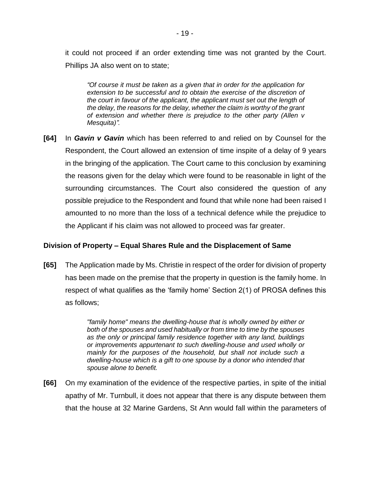it could not proceed if an order extending time was not granted by the Court. Phillips JA also went on to state;

*"Of course it must be taken as a given that in order for the application for extension to be successful and to obtain the exercise of the discretion of the court in favour of the applicant, the applicant must set out the length of the delay, the reasons for the delay, whether the claim is worthy of the grant of extension and whether there is prejudice to the other party (Allen v Mesquita)".*

**[64]** In *Gavin v Gavin* which has been referred to and relied on by Counsel for the Respondent, the Court allowed an extension of time inspite of a delay of 9 years in the bringing of the application. The Court came to this conclusion by examining the reasons given for the delay which were found to be reasonable in light of the surrounding circumstances. The Court also considered the question of any possible prejudice to the Respondent and found that while none had been raised I amounted to no more than the loss of a technical defence while the prejudice to the Applicant if his claim was not allowed to proceed was far greater.

### **Division of Property – Equal Shares Rule and the Displacement of Same**

**[65]** The Application made by Ms. Christie in respect of the order for division of property has been made on the premise that the property in question is the family home. In respect of what qualifies as the 'family home' Section 2(1) of PROSA defines this as follows;

> *"family home" means the dwelling-house that is wholly owned by either or both of the spouses and used habitually or from time to time by the spouses as the only or principal family residence together with any land, buildings or improvements appurtenant to such dwelling-house and used wholly or mainly for the purposes of the household, but shall not include such a dwelling-house which is a gift to one spouse by a donor who intended that spouse alone to benefit.*

**[66]** On my examination of the evidence of the respective parties, in spite of the initial apathy of Mr. Turnbull, it does not appear that there is any dispute between them that the house at 32 Marine Gardens, St Ann would fall within the parameters of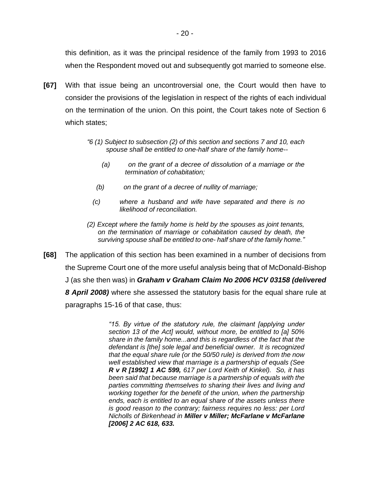this definition, as it was the principal residence of the family from 1993 to 2016 when the Respondent moved out and subsequently got married to someone else.

- **[67]** With that issue being an uncontroversial one, the Court would then have to consider the provisions of the legislation in respect of the rights of each individual on the termination of the union. On this point, the Court takes note of Section 6 which states;
	- *"6 (1) Subject to subsection (2) of this section and sections 7 and 10, each spouse shall be entitled to one-half share of the family home--*
		- *(a) on the grant of a decree of dissolution of a marriage or the termination of cohabitation;*
		- *(b) on the grant of a decree of nullity of marriage;*
		- *(c) where a husband and wife have separated and there is no likelihood of reconciliation.*
	- *(2) Except where the family home is held by the spouses as joint tenants, on the termination of marriage or cohabitation caused by death, the surviving spouse shall be entitled to one- half share of the family home."*
- **[68]** The application of this section has been examined in a number of decisions from the Supreme Court one of the more useful analysis being that of McDonald-Bishop J (as she then was) in *Graham v Graham Claim No 2006 HCV 03158 (delivered 8 April 2008)* where she assessed the statutory basis for the equal share rule at paragraphs 15-16 of that case, thus:

*"15. By virtue of the statutory rule, the claimant [applying under section 13 of the Act] would, without more, be entitled to [a] 50% share in the family home...and this is regardless of the fact that the defendant is [the] sole legal and beneficial owner. It is recognized that the equal share rule (or the 50/50 rule) is derived from the now well established view that marriage is a partnership of equals (See R v R [1992] 1 AC 599, 617 per Lord Keith of Kinkel). So, it has been said that because marriage is a partnership of equals with the parties committing themselves to sharing their lives and living and working together for the benefit of the union, when the partnership ends, each is entitled to an equal share of the assets unless there is good reason to the contrary; fairness requires no less: per Lord Nicholls of Birkenhead in Miller v Miller; McFarlane v McFarlane [2006] 2 AC 618, 633.*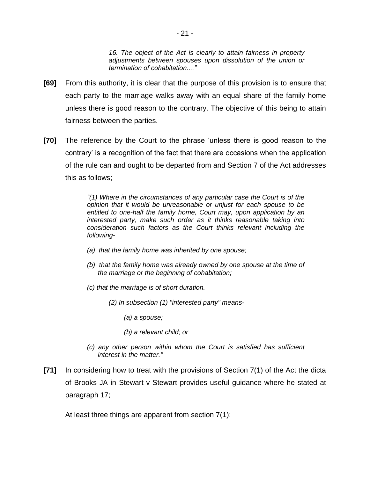*16. The object of the Act is clearly to attain fairness in property adjustments between spouses upon dissolution of the union or termination of cohabitation...."* 

- **[69]** From this authority, it is clear that the purpose of this provision is to ensure that each party to the marriage walks away with an equal share of the family home unless there is good reason to the contrary. The objective of this being to attain fairness between the parties.
- **[70]** The reference by the Court to the phrase 'unless there is good reason to the contrary' is a recognition of the fact that there are occasions when the application of the rule can and ought to be departed from and Section 7 of the Act addresses this as follows;

*"(1) Where in the circumstances of any particular case the Court is of the opinion that it would be unreasonable or unjust for each spouse to be entitled to one-half the family home, Court may, upon application by an interested party, make such order as it thinks reasonable taking into consideration such factors as the Court thinks relevant including the following-*

- *(a) that the family home was inherited by one spouse;*
- *(b) that the family home was already owned by one spouse at the time of the marriage or the beginning of cohabitation;*
- *(c) that the marriage is of short duration.*
	- *(2) In subsection (1) "interested party" means-*
		- *(a) a spouse;*
		- *(b) a relevant child; or*
- *(c) any other person within whom the Court is satisfied has sufficient interest in the matter."*
- **[71]** In considering how to treat with the provisions of Section 7(1) of the Act the dicta of Brooks JA in Stewart v Stewart provides useful guidance where he stated at paragraph 17;

At least three things are apparent from section 7(1):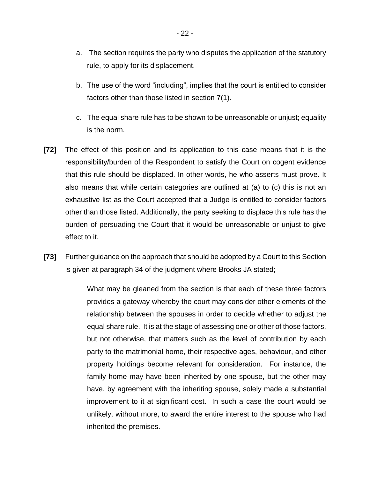- a. The section requires the party who disputes the application of the statutory rule, to apply for its displacement.
- b. The use of the word "including", implies that the court is entitled to consider factors other than those listed in section 7(1).
- c. The equal share rule has to be shown to be unreasonable or unjust; equality is the norm.
- **[72]** The effect of this position and its application to this case means that it is the responsibility/burden of the Respondent to satisfy the Court on cogent evidence that this rule should be displaced. In other words, he who asserts must prove. It also means that while certain categories are outlined at (a) to (c) this is not an exhaustive list as the Court accepted that a Judge is entitled to consider factors other than those listed. Additionally, the party seeking to displace this rule has the burden of persuading the Court that it would be unreasonable or unjust to give effect to it.
- **[73]** Further guidance on the approach that should be adopted by a Court to this Section is given at paragraph 34 of the judgment where Brooks JA stated;

What may be gleaned from the section is that each of these three factors provides a gateway whereby the court may consider other elements of the relationship between the spouses in order to decide whether to adjust the equal share rule. It is at the stage of assessing one or other of those factors, but not otherwise, that matters such as the level of contribution by each party to the matrimonial home, their respective ages, behaviour, and other property holdings become relevant for consideration. For instance, the family home may have been inherited by one spouse, but the other may have, by agreement with the inheriting spouse, solely made a substantial improvement to it at significant cost. In such a case the court would be unlikely, without more, to award the entire interest to the spouse who had inherited the premises.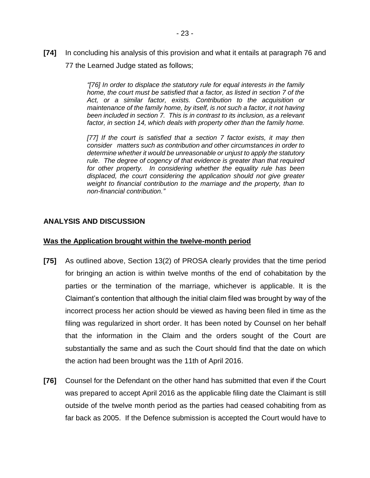**[74]** In concluding his analysis of this provision and what it entails at paragraph 76 and 77 the Learned Judge stated as follows;

> *"[76] In order to displace the statutory rule for equal interests in the family home, the court must be satisfied that a factor, as listed in section 7 of the Act, or a similar factor, exists. Contribution to the acquisition or maintenance of the family home, by itself, is not such a factor, it not having been included in section 7. This is in contrast to its inclusion, as a relevant*  factor, in section 14, which deals with property other than the family home.

> *[77] If the court is satisfied that a section 7 factor exists, it may then consider matters such as contribution and other circumstances in order to determine whether it would be unreasonable or unjust to apply the statutory rule. The degree of cogency of that evidence is greater than that required for other property. In considering whether the equality rule has been displaced, the court considering the application should not give greater weight to financial contribution to the marriage and the property, than to non-financial contribution."*

## **ANALYSIS AND DISCUSSION**

#### **Was the Application brought within the twelve-month period**

- **[75]** As outlined above, Section 13(2) of PROSA clearly provides that the time period for bringing an action is within twelve months of the end of cohabitation by the parties or the termination of the marriage, whichever is applicable. It is the Claimant's contention that although the initial claim filed was brought by way of the incorrect process her action should be viewed as having been filed in time as the filing was regularized in short order. It has been noted by Counsel on her behalf that the information in the Claim and the orders sought of the Court are substantially the same and as such the Court should find that the date on which the action had been brought was the 11th of April 2016.
- **[76]** Counsel for the Defendant on the other hand has submitted that even if the Court was prepared to accept April 2016 as the applicable filing date the Claimant is still outside of the twelve month period as the parties had ceased cohabiting from as far back as 2005. If the Defence submission is accepted the Court would have to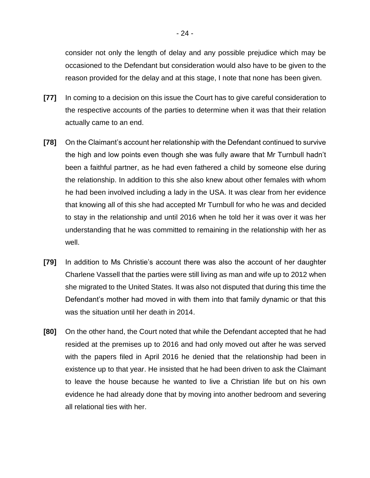consider not only the length of delay and any possible prejudice which may be occasioned to the Defendant but consideration would also have to be given to the reason provided for the delay and at this stage, I note that none has been given.

- **[77]** In coming to a decision on this issue the Court has to give careful consideration to the respective accounts of the parties to determine when it was that their relation actually came to an end.
- **[78]** On the Claimant's account her relationship with the Defendant continued to survive the high and low points even though she was fully aware that Mr Turnbull hadn't been a faithful partner, as he had even fathered a child by someone else during the relationship. In addition to this she also knew about other females with whom he had been involved including a lady in the USA. It was clear from her evidence that knowing all of this she had accepted Mr Turnbull for who he was and decided to stay in the relationship and until 2016 when he told her it was over it was her understanding that he was committed to remaining in the relationship with her as well.
- **[79]** In addition to Ms Christie's account there was also the account of her daughter Charlene Vassell that the parties were still living as man and wife up to 2012 when she migrated to the United States. It was also not disputed that during this time the Defendant's mother had moved in with them into that family dynamic or that this was the situation until her death in 2014.
- **[80]** On the other hand, the Court noted that while the Defendant accepted that he had resided at the premises up to 2016 and had only moved out after he was served with the papers filed in April 2016 he denied that the relationship had been in existence up to that year. He insisted that he had been driven to ask the Claimant to leave the house because he wanted to live a Christian life but on his own evidence he had already done that by moving into another bedroom and severing all relational ties with her.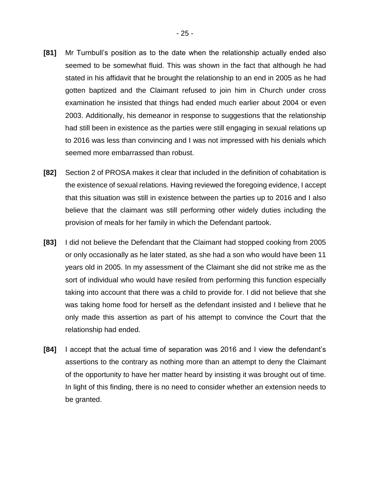- **[81]** Mr Turnbull's position as to the date when the relationship actually ended also seemed to be somewhat fluid. This was shown in the fact that although he had stated in his affidavit that he brought the relationship to an end in 2005 as he had gotten baptized and the Claimant refused to join him in Church under cross examination he insisted that things had ended much earlier about 2004 or even 2003. Additionally, his demeanor in response to suggestions that the relationship had still been in existence as the parties were still engaging in sexual relations up to 2016 was less than convincing and I was not impressed with his denials which seemed more embarrassed than robust.
- **[82]** Section 2 of PROSA makes it clear that included in the definition of cohabitation is the existence of sexual relations. Having reviewed the foregoing evidence, I accept that this situation was still in existence between the parties up to 2016 and I also believe that the claimant was still performing other widely duties including the provision of meals for her family in which the Defendant partook.
- **[83]** I did not believe the Defendant that the Claimant had stopped cooking from 2005 or only occasionally as he later stated, as she had a son who would have been 11 years old in 2005. In my assessment of the Claimant she did not strike me as the sort of individual who would have resiled from performing this function especially taking into account that there was a child to provide for. I did not believe that she was taking home food for herself as the defendant insisted and I believe that he only made this assertion as part of his attempt to convince the Court that the relationship had ended.
- **[84]** I accept that the actual time of separation was 2016 and I view the defendant's assertions to the contrary as nothing more than an attempt to deny the Claimant of the opportunity to have her matter heard by insisting it was brought out of time. In light of this finding, there is no need to consider whether an extension needs to be granted.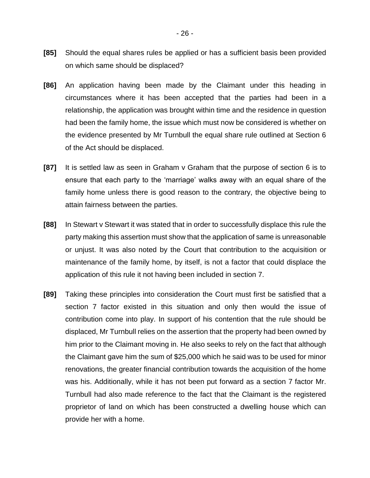- **[85]** Should the equal shares rules be applied or has a sufficient basis been provided on which same should be displaced?
- **[86]** An application having been made by the Claimant under this heading in circumstances where it has been accepted that the parties had been in a relationship, the application was brought within time and the residence in question had been the family home, the issue which must now be considered is whether on the evidence presented by Mr Turnbull the equal share rule outlined at Section 6 of the Act should be displaced.
- **[87]** It is settled law as seen in Graham v Graham that the purpose of section 6 is to ensure that each party to the 'marriage' walks away with an equal share of the family home unless there is good reason to the contrary, the objective being to attain fairness between the parties.
- **[88]** In Stewart v Stewart it was stated that in order to successfully displace this rule the party making this assertion must show that the application of same is unreasonable or unjust. It was also noted by the Court that contribution to the acquisition or maintenance of the family home, by itself, is not a factor that could displace the application of this rule it not having been included in section 7.
- **[89]** Taking these principles into consideration the Court must first be satisfied that a section 7 factor existed in this situation and only then would the issue of contribution come into play. In support of his contention that the rule should be displaced, Mr Turnbull relies on the assertion that the property had been owned by him prior to the Claimant moving in. He also seeks to rely on the fact that although the Claimant gave him the sum of \$25,000 which he said was to be used for minor renovations, the greater financial contribution towards the acquisition of the home was his. Additionally, while it has not been put forward as a section 7 factor Mr. Turnbull had also made reference to the fact that the Claimant is the registered proprietor of land on which has been constructed a dwelling house which can provide her with a home.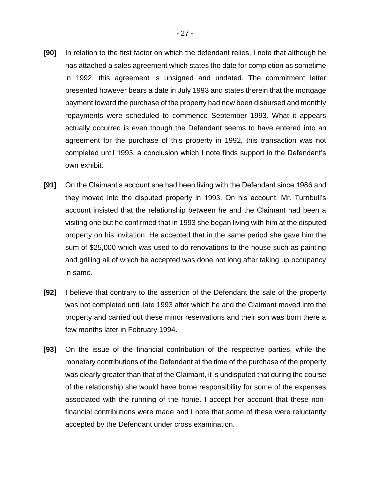- **[90]** In relation to the first factor on which the defendant relies, I note that although he has attached a sales agreement which states the date for completion as sometime in 1992, this agreement is unsigned and undated. The commitment letter presented however bears a date in July 1993 and states therein that the mortgage payment toward the purchase of the property had now been disbursed and monthly repayments were scheduled to commence September 1993. What it appears actually occurred is even though the Defendant seems to have entered into an agreement for the purchase of this property in 1992, this transaction was not completed until 1993, a conclusion which I note finds support in the Defendant's own exhibit.
- **[91]** On the Claimant's account she had been living with the Defendant since 1986 and they moved into the disputed property in 1993. On his account, Mr. Turnbull's account insisted that the relationship between he and the Claimant had been a visiting one but he confirmed that in 1993 she began living with him at the disputed property on his invitation. He accepted that in the same period she gave him the sum of \$25,000 which was used to do renovations to the house such as painting and grilling all of which he accepted was done not long after taking up occupancy in same.
- **[92]** I believe that contrary to the assertion of the Defendant the sale of the property was not completed until late 1993 after which he and the Claimant moved into the property and carried out these minor reservations and their son was born there a few months later in February 1994.
- **[93]** On the issue of the financial contribution of the respective parties, while the monetary contributions of the Defendant at the time of the purchase of the property was clearly greater than that of the Claimant, it is undisputed that during the course of the relationship she would have borne responsibility for some of the expenses associated with the running of the home. I accept her account that these nonfinancial contributions were made and I note that some of these were reluctantly accepted by the Defendant under cross examination.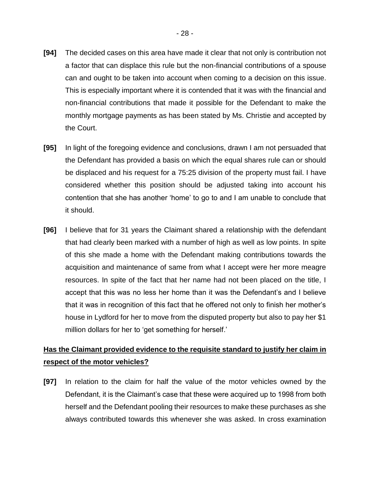- **[94]** The decided cases on this area have made it clear that not only is contribution not a factor that can displace this rule but the non-financial contributions of a spouse can and ought to be taken into account when coming to a decision on this issue. This is especially important where it is contended that it was with the financial and non-financial contributions that made it possible for the Defendant to make the monthly mortgage payments as has been stated by Ms. Christie and accepted by the Court.
- **[95]** In light of the foregoing evidence and conclusions, drawn I am not persuaded that the Defendant has provided a basis on which the equal shares rule can or should be displaced and his request for a 75:25 division of the property must fail. I have considered whether this position should be adjusted taking into account his contention that she has another 'home' to go to and I am unable to conclude that it should.
- **[96]** I believe that for 31 years the Claimant shared a relationship with the defendant that had clearly been marked with a number of high as well as low points. In spite of this she made a home with the Defendant making contributions towards the acquisition and maintenance of same from what I accept were her more meagre resources. In spite of the fact that her name had not been placed on the title, I accept that this was no less her home than it was the Defendant's and I believe that it was in recognition of this fact that he offered not only to finish her mother's house in Lydford for her to move from the disputed property but also to pay her \$1 million dollars for her to 'get something for herself.'

# **Has the Claimant provided evidence to the requisite standard to justify her claim in respect of the motor vehicles?**

**[97]** In relation to the claim for half the value of the motor vehicles owned by the Defendant, it is the Claimant's case that these were acquired up to 1998 from both herself and the Defendant pooling their resources to make these purchases as she always contributed towards this whenever she was asked. In cross examination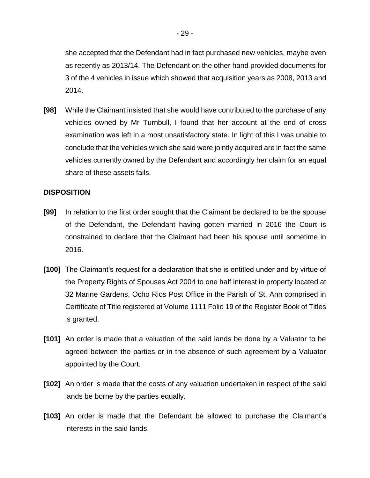she accepted that the Defendant had in fact purchased new vehicles, maybe even as recently as 2013/14. The Defendant on the other hand provided documents for 3 of the 4 vehicles in issue which showed that acquisition years as 2008, 2013 and 2014.

**[98]** While the Claimant insisted that she would have contributed to the purchase of any vehicles owned by Mr Turnbull, I found that her account at the end of cross examination was left in a most unsatisfactory state. In light of this I was unable to conclude that the vehicles which she said were jointly acquired are in fact the same vehicles currently owned by the Defendant and accordingly her claim for an equal share of these assets fails.

### **DISPOSITION**

- **[99]** In relation to the first order sought that the Claimant be declared to be the spouse of the Defendant, the Defendant having gotten married in 2016 the Court is constrained to declare that the Claimant had been his spouse until sometime in 2016.
- **[100]** The Claimant's request for a declaration that she is entitled under and by virtue of the Property Rights of Spouses Act 2004 to one half interest in property located at 32 Marine Gardens, Ocho Rios Post Office in the Parish of St. Ann comprised in Certificate of Title registered at Volume 1111 Folio 19 of the Register Book of Titles is granted.
- **[101]** An order is made that a valuation of the said lands be done by a Valuator to be agreed between the parties or in the absence of such agreement by a Valuator appointed by the Court.
- **[102]** An order is made that the costs of any valuation undertaken in respect of the said lands be borne by the parties equally.
- **[103]** An order is made that the Defendant be allowed to purchase the Claimant's interests in the said lands.